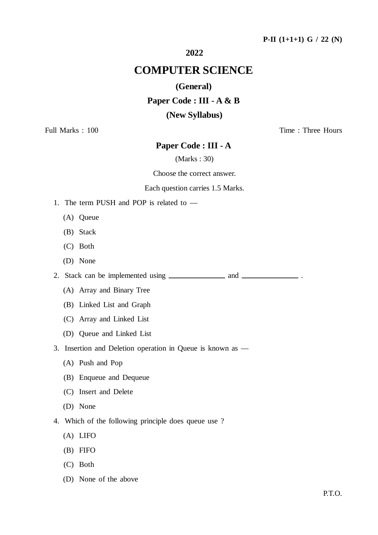## **P-II (1+1+1) G / 22 (N)**

## **2022**

# **COMPUTER SCIENCE**

#### **(General)**

#### **Paper Code : III - A & B**

## **(New Syllabus)**

Full Marks : 100 Time : Three Hours

## **Paper Code : III - A**

(Marks : 30)

#### Choose the correct answer.

#### Each question carries 1.5 Marks.

- 1. The term PUSH and POP is related to
	- (A) Queue
	- (B) Stack
	- (C) Both
	- (D) None

2. Stack can be implemented using \_\_\_\_\_\_\_\_\_\_\_\_\_ and \_\_\_\_\_\_\_\_\_\_\_\_\_\_\_.

- (A) Array and Binary Tree
- (B) Linked List and Graph
- (C) Array and Linked List
- (D) Queue and Linked List
- 3. Insertion and Deletion operation in Queue is known as
	- (A) Push and Pop
	- (B) Enqueue and Dequeue
	- (C) Insert and Delete
	- (D) None
- 4. Which of the following principle does queue use ?
	- (A) LIFO
	- (B) FIFO
	- (C) Both
	- (D) None of the above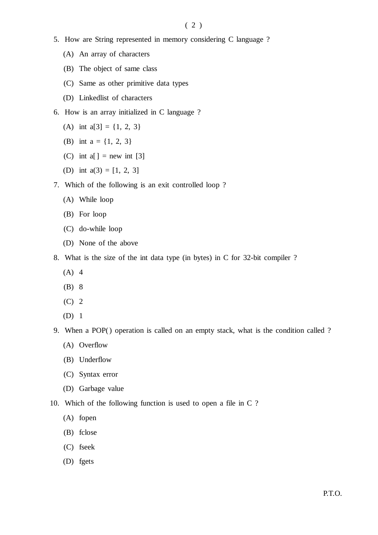- 5. How are String represented in memory considering C language ?
	- (A) An array of characters
	- (B) The object of same class
	- (C) Same as other primitive data types
	- (D) Linkedlist of characters
- 6. How is an array initialized in C language ?
	- (A) int  $a[3] = \{1, 2, 3\}$
	- (B) int  $a = \{1, 2, 3\}$
	- (C) int  $a[$ ] = new int [3]
	- (D) int  $a(3) = [1, 2, 3]$
- 7. Which of the following is an exit controlled loop ?
	- (A) While loop
	- (B) For loop
	- (C) do-while loop
	- (D) None of the above
- 8. What is the size of the int data type (in bytes) in C for 32-bit compiler ?
	- $(A)$  4
	- (B) 8
	- (C) 2
	- (D) 1
- 9. When a POP() operation is called on an empty stack, what is the condition called ?
	- (A) Overflow
	- (B) Underflow
	- (C) Syntax error
	- (D) Garbage value
- 10. Which of the following function is used to open a file in C ?
	- (A) fopen
	- (B) fclose
	- (C) fseek
	- (D) fgets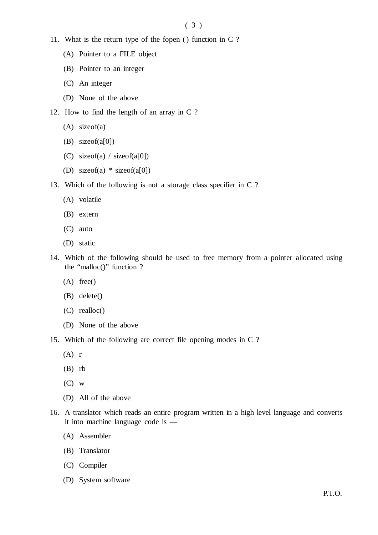- 11. What is the return type of the fopen () function in C ?
	- (A) Pointer to a FILE object
	- (B) Pointer to an integer
	- (C) An integer
	- (D) None of the above
- 12. How to find the length of an array in C ?
	- (A) sizeof(a)
	- (B) sizeof(a[0])
	- (C) sizeof(a) / sizeof(a[0])
	- (D) sizeof(a) \* sizeof(a[0])
- 13. Which of the following is not a storage class specifier in C ?
	- (A) volatile
	- (B) extern
	- (C) auto
	- (D) static
- 14. Which of the following should be used to free memory from a pointer allocated using the "malloc()" function ?
	- (A) free()
	- (B) delete()
	- (C) realloc()
	- (D) None of the above
- 15. Which of the following are correct file opening modes in C ?
	- $(A)$  r
	- (B) rb
	- $(C)$  w
	- (D) All of the above
- 16. A translator which reads an entire program written in a high level language and converts it into machine language code is —
	- (A) Assembler
	- (B) Translator
	- (C) Compiler
	- (D) System software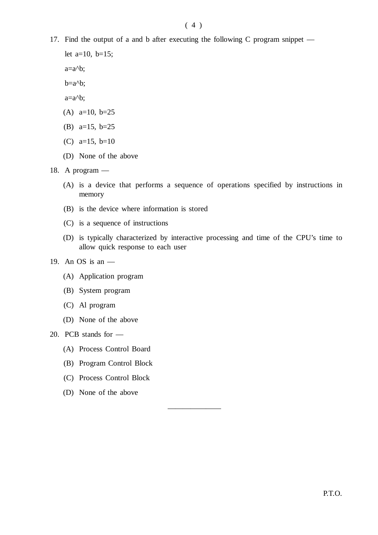## $(4)$

17. Find the output of a and b after executing the following C program snippet —

let  $a=10$ ,  $b=15$ ;

 $a=a<sup>0</sup>b$ ;

 $b=a$ <sup> $b$ </sup>;

 $a=a<sup>0</sup>b$ :

- (A) a=10, b=25
- (B) a=15, b=25
- (C) a=15, b=10
- (D) None of the above

18. A program —

- (A) is a device that performs a sequence of operations specified by instructions in memory
- (B) is the device where information is stored
- (C) is a sequence of instructions
- (D) is typically characterized by interactive processing and time of the CPU's time to allow quick response to each user

———————

- 19. An OS is an
	- (A) Application program
	- (B) System program
	- (C) Al program
	- (D) None of the above

20. PCB stands for —

- (A) Process Control Board
- (B) Program Control Block
- (C) Process Control Block
- (D) None of the above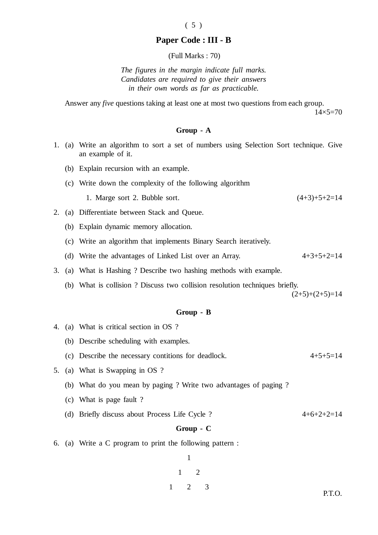## **Paper Code : III - B**

 $(5)$ 

(Full Marks : 70)

*The figures in the margin indicate full marks. Candidates are required to give their answers in their own words as far as practicable.*

Answer any *five* questions taking at least one at most two questions from each group.  $14\times5=70$ 

#### **Group - A**

- 1. (a) Write an algorithm to sort a set of numbers using Selection Sort technique. Give an example of it.
	- (b) Explain recursion with an example.
	- (c) Write down the complexity of the following algorithm
		- 1. Marge sort 2. Bubble sort. (4+3)+5+2=14
- 2. (a) Differentiate between Stack and Queue.
	- (b) Explain dynamic memory allocation.
	- (c) Write an algorithm that implements Binary Search iteratively.
	- (d) Write the advantages of Linked List over an Array.  $4+3+5+2=14$
- 3. (a) What is Hashing ? Describe two hashing methods with example.
	- (b) What is collision ? Discuss two collision resolution techniques briefly.

 $(2+5)+(2+5)=14$ 

#### **Group - B**

- 4. (a) What is critical section in OS ?
	- (b) Describe scheduling with examples.
	- (c) Describe the necessary contitions for deadlock.  $4+5+5=14$
- 5. (a) What is Swapping in OS ?
	- (b) What do you mean by paging ? Write two advantages of paging ?
	- (c) What is page fault ?
	- (d) Briefly discuss about Process Life Cycle ?  $4+6+2+2=14$

## **Group - C**

6. (a) Write a C program to print the following pattern :

1 1 2 1 2 3